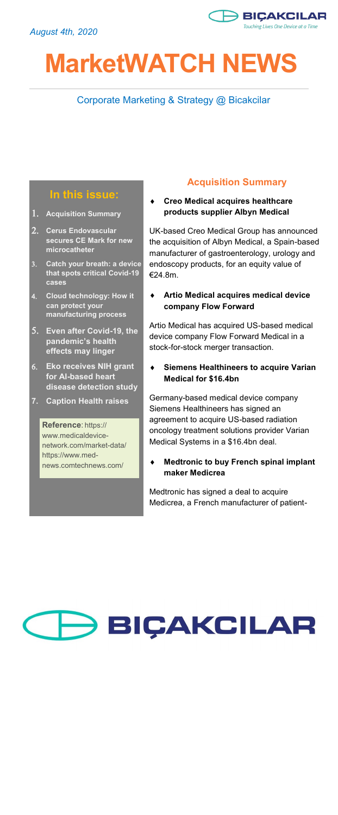

# **MarketWATCH NEWS**

# Corporate Marketing & Strategy @ Bicakcilar

## **In this issue:**

- **Acquisition Summary**
- **Cerus Endovascular secures CE Mark for new microcatheter**
- **Catch your breath: a device that spots critical Covid-19 cases**
- **Cloud technology: How it can protect your manufacturing process**
- **Even after Covid-19, the pandemic's health effects may linger**
- **Eko receives NIH grant for AI-based heart disease detection study**
- **7. Caption Health raises**

#### **Reference**: https:// www.medicaldevicenetwork.com/market-data/ https://www.mednews.comtechnews.com/

# **Acquisition Summary**

 **Creo Medical acquires healthcare products supplier Albyn Medical**

UK-based Creo Medical Group has announced the acquisition of Albyn Medical, a Spain-based manufacturer of gastroenterology, urology and endoscopy products, for an equity value of €24.8m.

 **Artio Medical acquires medical device company Flow Forward**

Artio Medical has acquired US-based medical device company Flow Forward Medical in a stock-for-stock merger transaction.

 **Siemens Healthineers to acquire Varian Medical for \$16.4bn**

Germany-based medical device company Siemens Healthineers has signed an agreement to acquire US-based radiation oncology treatment solutions provider Varian Medical Systems in a \$16.4bn deal.

 **Medtronic to buy French spinal implant maker Medicrea**

Medtronic has signed a deal to acquire Medicrea, a French manufacturer of patient-

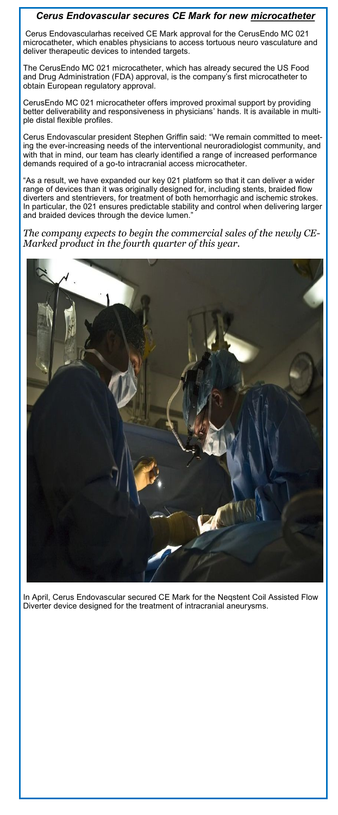### *Cerus Endovascular secures CE Mark for new microcatheter*

Cerus Endovascularhas received CE Mark approval for the CerusEndo MC 021 microcatheter, which enables physicians to access tortuous neuro vasculature and deliver therapeutic devices to intended targets.

The CerusEndo MC 021 microcatheter, which has already secured the US Food and Drug Administration (FDA) approval, is the company's first microcatheter to obtain European regulatory approval.

CerusEndo MC 021 microcatheter offers improved proximal support by providing better deliverability and responsiveness in physicians' hands. It is available in multiple distal flexible profiles.

Cerus Endovascular president Stephen Griffin said: "We remain committed to meeting the ever-increasing needs of the interventional neuroradiologist community, and with that in mind, our team has clearly identified a range of increased performance demands required of a go-to intracranial access microcatheter.

"As a result, we have expanded our key 021 platform so that it can deliver a wider range of devices than it was originally designed for, including stents, braided flow diverters and stentrievers, for treatment of both hemorrhagic and ischemic strokes. In particular, the 021 ensures predictable stability and control when delivering larger and braided devices through the device lumen."

*The company expects to begin the commercial sales of the newly CE-Marked product in the fourth quarter of this year.*



In April, Cerus Endovascular secured CE Mark for the Neqstent Coil Assisted Flow Diverter device designed for the treatment of intracranial aneurysms.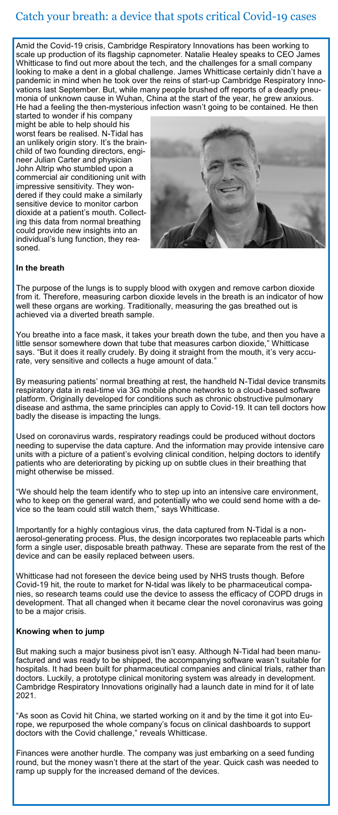# Catch your breath: a device that spots critical Covid-19 cases

Amid the Covid-19 crisis, Cambridge Respiratory Innovations has been working to scale up production of its flagship capnometer. Natalie Healey speaks to CEO James Whitticase to find out more about the tech, and the challenges for a small company looking to make a dent in a global challenge. James Whitticase certainly didn't have a pandemic in mind when he took over the reins of start-up Cambridge Respiratory Innovations last September. But, while many people brushed off reports of a deadly pneumonia of unknown cause in Wuhan, China at the start of the year, he grew anxious. He had a feeling the then-mysterious infection wasn't going to be contained. He then

started to wonder if his company might be able to help should his worst fears be realised. N-Tidal has an unlikely origin story. It's the brainchild of two founding directors, engineer Julian Carter and physician John Altrip who stumbled upon a commercial air conditioning unit with impressive sensitivity. They wondered if they could make a similarly sensitive device to monitor carbon dioxide at a patient's mouth. Collecting this data from normal breathing could provide new insights into an individual's lung function, they reasoned.



#### **In the breath**

The purpose of the lungs is to supply blood with oxygen and remove carbon dioxide from it. Therefore, measuring carbon dioxide levels in the breath is an indicator of how well these organs are working. Traditionally, measuring the gas breathed out is achieved via a diverted breath sample.

You breathe into a face mask, it takes your breath down the tube, and then you have a little sensor somewhere down that tube that measures carbon dioxide," Whitticase says. "But it does it really crudely. By doing it straight from the mouth, it's very accurate, very sensitive and collects a huge amount of data."

By measuring patients' normal breathing at rest, the handheld N-Tidal device transmits respiratory data in real-time via 3G mobile phone networks to a cloud-based software platform. Originally developed for conditions such as chronic obstructive pulmonary disease and asthma, the same principles can apply to Covid-19. It can tell doctors how badly the disease is impacting the lungs.

Used on coronavirus wards, respiratory readings could be produced without doctors needing to supervise the data capture. And the information may provide intensive care units with a picture of a patient's evolving clinical condition, helping doctors to identify patients who are deteriorating by picking up on subtle clues in their breathing that might otherwise be missed.

"We should help the team identify who to step up into an intensive care environment, who to keep on the general ward, and potentially who we could send home with a device so the team could still watch them," says Whitticase.

Importantly for a highly contagious virus, the data captured from N-Tidal is a nonaerosol-generating process. Plus, the design incorporates two replaceable parts which form a single user, disposable breath pathway. These are separate from the rest of the device and can be easily replaced between users.

Whitticase had not foreseen the device being used by NHS trusts though. Before Covid-19 hit, the route to market for N-tidal was likely to be pharmaceutical companies, so research teams could use the device to assess the efficacy of COPD drugs in development. That all changed when it became clear the novel coronavirus was going to be a major crisis.

#### **Knowing when to jump**

But making such a major business pivot isn't easy. Although N-Tidal had been manufactured and was ready to be shipped, the accompanying software wasn't suitable for hospitals. It had been built for pharmaceutical companies and clinical trials, rather than doctors. Luckily, a prototype clinical monitoring system was already in development. Cambridge Respiratory Innovations originally had a launch date in mind for it of late 2021.

"As soon as Covid hit China, we started working on it and by the time it got into Europe, we repurposed the whole company's focus on clinical dashboards to support doctors with the Covid challenge," reveals Whitticase.

Finances were another hurdle. The company was just embarking on a seed funding round, but the money wasn't there at the start of the year. Quick cash was needed to ramp up supply for the increased demand of the devices.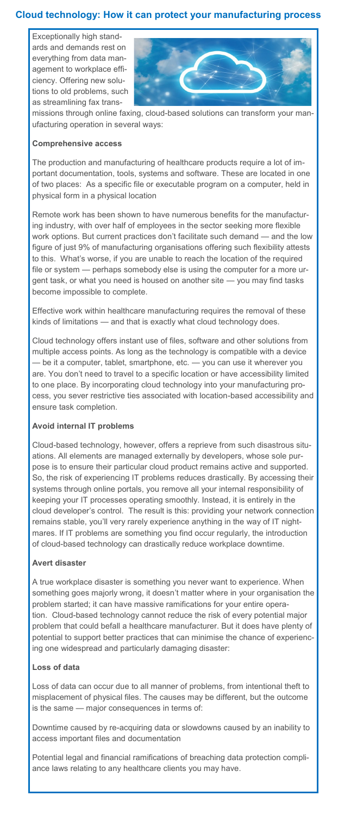## **Cloud technology: How it can protect your manufacturing process**

Exceptionally high standards and demands rest on everything from data management to workplace efficiency. Offering new solutions to old problems, such as streamlining fax trans-



missions through online faxing, cloud-based solutions can transform your manufacturing operation in several ways:

#### **Comprehensive access**

The production and manufacturing of healthcare products require a lot of important documentation, tools, systems and software. These are located in one of two places: As a specific file or executable program on a computer, held in physical form in a physical location

Remote work has been shown to have numerous benefits for the manufacturing industry, with over half of employees in the sector seeking more flexible work options. But current practices don't facilitate such demand — and the low figure of just 9% of manufacturing organisations offering such flexibility attests to this. What's worse, if you are unable to reach the location of the required file or system — perhaps somebody else is using the computer for a more urgent task, or what you need is housed on another site — you may find tasks become impossible to complete.

Effective work within healthcare manufacturing requires the removal of these kinds of limitations — and that is exactly what cloud technology does.

Cloud technology offers instant use of files, software and other solutions from multiple access points. As long as the technology is compatible with a device — be it a computer, tablet, smartphone, etc. — you can use it wherever you are. You don't need to travel to a specific location or have accessibility limited to one place. By incorporating cloud technology into your manufacturing process, you sever restrictive ties associated with location-based accessibility and ensure task completion.

#### **Avoid internal IT problems**

Cloud-based technology, however, offers a reprieve from such disastrous situations. All elements are managed externally by developers, whose sole purpose is to ensure their particular cloud product remains active and supported. So, the risk of experiencing IT problems reduces drastically. By accessing their systems through online portals, you remove all your internal responsibility of keeping your IT processes operating smoothly. Instead, it is entirely in the cloud developer's control. The result is this: providing your network connection remains stable, you'll very rarely experience anything in the way of IT nightmares. If IT problems are something you find occur regularly, the introduction of cloud-based technology can drastically reduce workplace downtime.

#### **Avert disaster**

A true workplace disaster is something you never want to experience. When something goes majorly wrong, it doesn't matter where in your organisation the problem started; it can have massive ramifications for your entire operation. Cloud-based technology cannot reduce the risk of every potential major problem that could befall a healthcare manufacturer. But it does have plenty of potential to support better practices that can minimise the chance of experiencing one widespread and particularly damaging disaster:

#### **Loss of data**

Loss of data can occur due to all manner of problems, from intentional theft to misplacement of physical files. The causes may be different, but the outcome is the same — major consequences in terms of:

Downtime caused by re-acquiring data or slowdowns caused by an inability to access important files and documentation

Potential legal and financial ramifications of breaching data protection compliance laws relating to any healthcare clients you may have.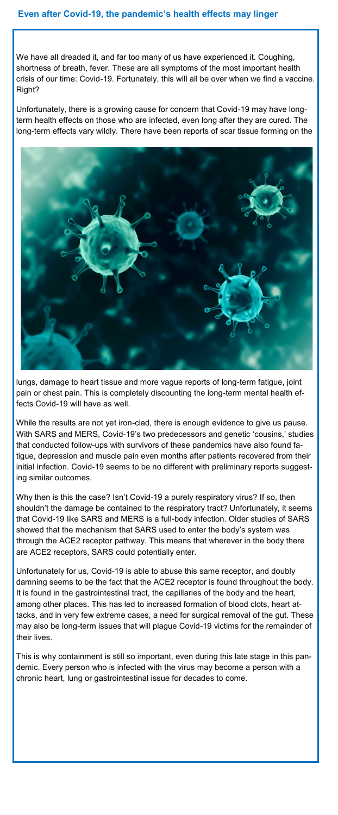We have all dreaded it, and far too many of us have experienced it. Coughing, shortness of breath, fever. These are all symptoms of the most important health crisis of our time: Covid-19. Fortunately, this will all be over when we find a vaccine. Right?

Unfortunately, there is a growing cause for concern that Covid-19 may have longterm health effects on those who are infected, even long after they are cured. The long-term effects vary wildly. There have been reports of scar tissue forming on the



lungs, damage to heart tissue and more vague reports of long-term fatigue, joint pain or chest pain. This is completely discounting the long-term mental health effects Covid-19 will have as well.

While the results are not yet iron-clad, there is enough evidence to give us pause. With SARS and MERS, Covid-19's two predecessors and genetic 'cousins,' studies that conducted follow-ups with survivors of these pandemics have also found fatigue, depression and muscle pain even months after patients recovered from their initial infection. Covid-19 seems to be no different with preliminary reports suggesting similar outcomes.

Why then is this the case? Isn't Covid-19 a purely respiratory virus? If so, then shouldn't the damage be contained to the respiratory tract? Unfortunately, it seems that Covid-19 like SARS and MERS is a full-body infection. Older studies of SARS showed that the mechanism that SARS used to enter the body's system was through the ACE2 receptor pathway. This means that wherever in the body there are ACE2 receptors, SARS could potentially enter.

Unfortunately for us, Covid-19 is able to abuse this same receptor, and doubly damning seems to be the fact that the ACE2 receptor is found throughout the body. It is found in the gastrointestinal tract, the capillaries of the body and the heart, among other places. This has led to increased formation of blood clots, heart attacks, and in very few extreme cases, a need for surgical removal of the gut. These may also be long-term issues that will plague Covid-19 victims for the remainder of their lives.

This is why containment is still so important, even during this late stage in this pandemic. Every person who is infected with the virus may become a person with a chronic heart, lung or gastrointestinal issue for decades to come.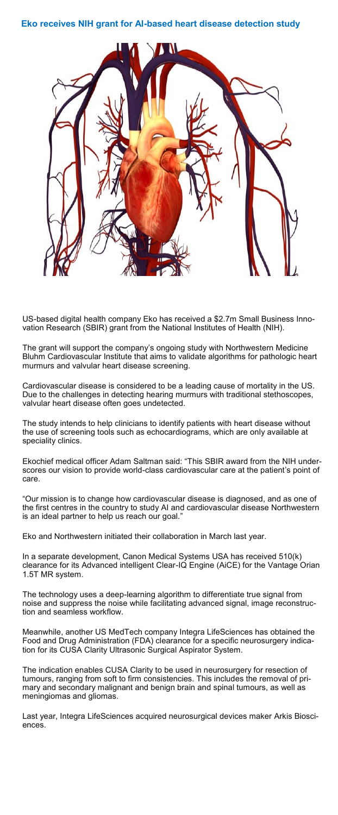#### **Eko receives NIH grant for AI-based heart disease detection study**



US-based digital health company Eko has received a \$2.7m Small Business Innovation Research (SBIR) grant from the National Institutes of Health (NIH).

The grant will support the company's ongoing study with Northwestern Medicine Bluhm Cardiovascular Institute that aims to validate algorithms for pathologic heart murmurs and valvular heart disease screening.

Cardiovascular disease is considered to be a leading cause of mortality in the US. Due to the challenges in detecting hearing murmurs with traditional stethoscopes, valvular heart disease often goes undetected.

The study intends to help clinicians to identify patients with heart disease without the use of screening tools such as echocardiograms, which are only available at speciality clinics.

Ekochief medical officer Adam Saltman said: "This SBIR award from the NIH underscores our vision to provide world-class cardiovascular care at the patient's point of care.

"Our mission is to change how cardiovascular disease is diagnosed, and as one of the first centres in the country to study AI and cardiovascular disease Northwestern is an ideal partner to help us reach our goal.

Eko and Northwestern initiated their collaboration in March last year.

In a separate development, Canon Medical Systems USA has received 510(k) clearance for its Advanced intelligent Clear-IQ Engine (AiCE) for the Vantage Orian 1.5T MR system.

The technology uses a deep-learning algorithm to differentiate true signal from noise and suppress the noise while facilitating advanced signal, image reconstruction and seamless workflow.

Meanwhile, another US MedTech company Integra LifeSciences has obtained the Food and Drug Administration (FDA) clearance for a specific neurosurgery indication for its CUSA Clarity Ultrasonic Surgical Aspirator System.

The indication enables CUSA Clarity to be used in neurosurgery for resection of tumours, ranging from soft to firm consistencies. This includes the removal of primary and secondary malignant and benign brain and spinal tumours, as well as meningiomas and gliomas.

Last year, Integra LifeSciences acquired neurosurgical devices maker Arkis Biosciences.